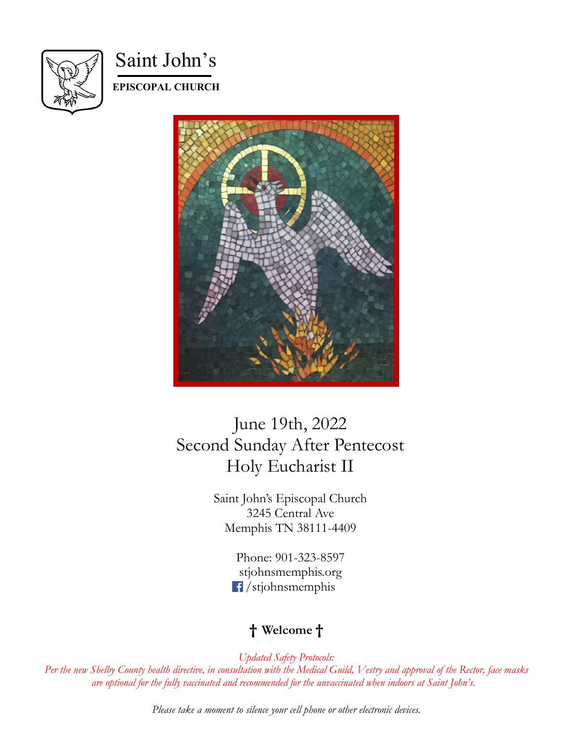

Saint John's **EPISCOPAL CHURCH**



# June 19th, 2022 Second Sunday After Pentecost Holy Eucharist II

Saint John's Episcopal Church 3245 Central Ave Memphis TN 38111-4409

> Phone: 901-323-8597 stjohnsmemphis.org /stjohnsmemphis

# **† Welcome †**

*Updated Safety Protocols:*

*Per the new Shelby County health directive, in consultation with the Medical Guild, Vestry and approval of the Rector, face masks are optional for the fully vaccinated and recommended for the unvaccinated when indoors at Saint John's.* 

*Please take a moment to silence your cell phone or other electronic devices.*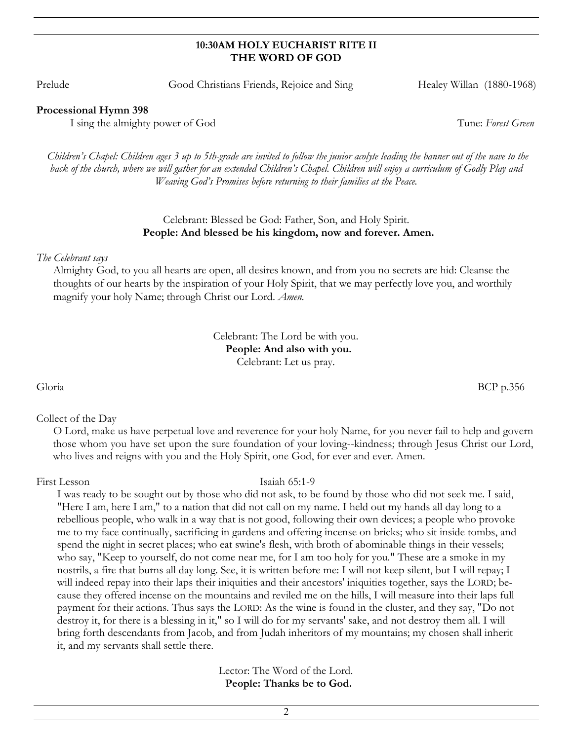# **10:30AM HOLY EUCHARIST RITE II THE WORD OF GOD**

Prelude Good Christians Friends, Rejoice and Sing Healey Willan (1880-1968)

### **Processional Hymn 398**

I sing the almighty power of God Tune: *Forest Green*

*Children's Chapel: Children ages 3 up to 5th-grade are invited to follow the junior acolyte leading the banner out of the nave to the back of the church, where we will gather for an extended Children's Chapel. Children will enjoy a curriculum of Godly Play and Weaving God's Promises before returning to their families at the Peace.*

# Celebrant: Blessed be God: Father, Son, and Holy Spirit. **People: And blessed be his kingdom, now and forever. Amen.**

### *The Celebrant says*

Almighty God, to you all hearts are open, all desires known, and from you no secrets are hid: Cleanse the thoughts of our hearts by the inspiration of your Holy Spirit, that we may perfectly love you, and worthily magnify your holy Name; through Christ our Lord. *Amen.*

> Celebrant: The Lord be with you. **People: And also with you.**

Gloria BCP p.356

Celebrant: Let us pray.

# Collect of the Day

O Lord, make us have perpetual love and reverence for your holy Name, for you never fail to help and govern those whom you have set upon the sure foundation of your loving--kindness; through Jesus Christ our Lord, who lives and reigns with you and the Holy Spirit, one God, for ever and ever. Amen.

### First Lesson Isaiah 65:1-9

I was ready to be sought out by those who did not ask, to be found by those who did not seek me. I said, "Here I am, here I am," to a nation that did not call on my name. I held out my hands all day long to a rebellious people, who walk in a way that is not good, following their own devices; a people who provoke me to my face continually, sacrificing in gardens and offering incense on bricks; who sit inside tombs, and spend the night in secret places; who eat swine's flesh, with broth of abominable things in their vessels; who say, "Keep to yourself, do not come near me, for I am too holy for you." These are a smoke in my nostrils, a fire that burns all day long. See, it is written before me: I will not keep silent, but I will repay; I will indeed repay into their laps their iniquities and their ancestors' iniquities together, says the LORD; because they offered incense on the mountains and reviled me on the hills, I will measure into their laps full payment for their actions. Thus says the LORD: As the wine is found in the cluster, and they say, "Do not destroy it, for there is a blessing in it," so I will do for my servants' sake, and not destroy them all. I will bring forth descendants from Jacob, and from Judah inheritors of my mountains; my chosen shall inherit it, and my servants shall settle there.

> Lector: The Word of the Lord. **People: Thanks be to God.**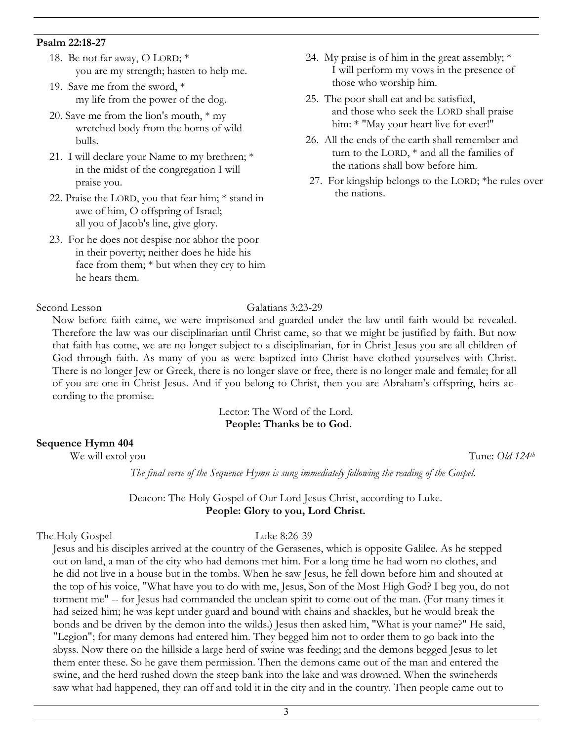# **Psalm 22:18-27**

- 18. Be not far away, O LORD; \* you are my strength; hasten to help me.
- 19. Save me from the sword, \* my life from the power of the dog.
- 20. Save me from the lion's mouth, \* my wretched body from the horns of wild bulls.
- 21. I will declare your Name to my brethren; \* in the midst of the congregation I will praise you.
- 22. Praise the LORD, you that fear him; \* stand in awe of him, O offspring of Israel; all you of Jacob's line, give glory.
- 23. For he does not despise nor abhor the poor in their poverty; neither does he hide his face from them; \* but when they cry to him he hears them.

## 24. My praise is of him in the great assembly; \* I will perform my vows in the presence of those who worship him.

- 25. The poor shall eat and be satisfied, and those who seek the LORD shall praise him: \* "May your heart live for ever!"
- 26. All the ends of the earth shall remember and turn to the LORD, \* and all the families of the nations shall bow before him.
- 27. For kingship belongs to the LORD; \*he rules over the nations.

#### Second Lesson Galatians 3:23-29

Now before faith came, we were imprisoned and guarded under the law until faith would be revealed. Therefore the law was our disciplinarian until Christ came, so that we might be justified by faith. But now that faith has come, we are no longer subject to a disciplinarian, for in Christ Jesus you are all children of God through faith. As many of you as were baptized into Christ have clothed yourselves with Christ. There is no longer Jew or Greek, there is no longer slave or free, there is no longer male and female; for all of you are one in Christ Jesus. And if you belong to Christ, then you are Abraham's offspring, heirs according to the promise.

> Lector: The Word of the Lord. **People: Thanks be to God.**

# **Sequence Hymn 404**

We will extol you Tune: *Old 124<sup>th</sup>* 

*The final verse of the Sequence Hymn is sung immediately following the reading of the Gospel.*

Deacon: The Holy Gospel of Our Lord Jesus Christ, according to Luke. **People: Glory to you, Lord Christ.**

The Holy Gospel Luke 8:26-39

Jesus and his disciples arrived at the country of the Gerasenes, which is opposite Galilee. As he stepped out on land, a man of the city who had demons met him. For a long time he had worn no clothes, and he did not live in a house but in the tombs. When he saw Jesus, he fell down before him and shouted at the top of his voice, "What have you to do with me, Jesus, Son of the Most High God? I beg you, do not torment me" -- for Jesus had commanded the unclean spirit to come out of the man. (For many times it had seized him; he was kept under guard and bound with chains and shackles, but he would break the bonds and be driven by the demon into the wilds.) Jesus then asked him, "What is your name?" He said, "Legion"; for many demons had entered him. They begged him not to order them to go back into the abyss. Now there on the hillside a large herd of swine was feeding; and the demons begged Jesus to let them enter these. So he gave them permission. Then the demons came out of the man and entered the swine, and the herd rushed down the steep bank into the lake and was drowned. When the swineherds saw what had happened, they ran off and told it in the city and in the country. Then people came out to

3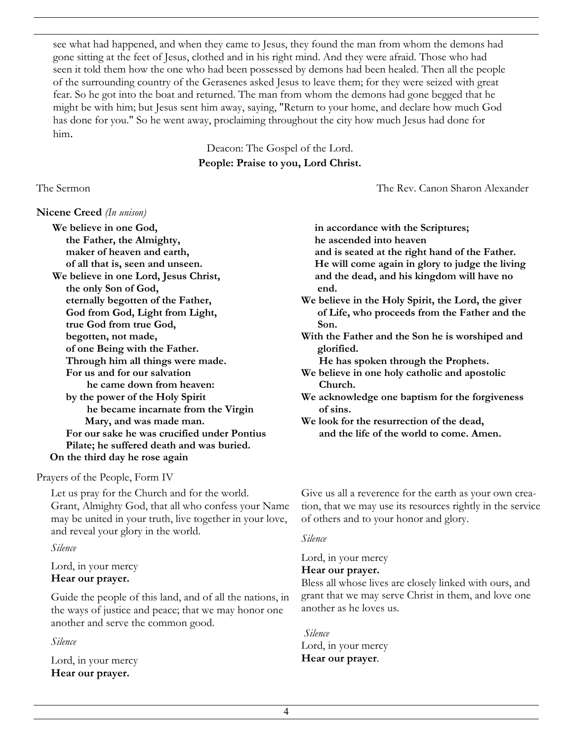see what had happened, and when they came to Jesus, they found the man from whom the demons had gone sitting at the feet of Jesus, clothed and in his right mind. And they were afraid. Those who had seen it told them how the one who had been possessed by demons had been healed. Then all the people of the surrounding country of the Gerasenes asked Jesus to leave them; for they were seized with great fear. So he got into the boat and returned. The man from whom the demons had gone begged that he might be with him; but Jesus sent him away, saying, "Return to your home, and declare how much God has done for you." So he went away, proclaiming throughout the city how much Jesus had done for him.

> Deacon: The Gospel of the Lord. **People: Praise to you, Lord Christ.**

The Sermon The Rev. Canon Sharon Alexander

# **Nicene Creed** *(In unison)*

**We believe in one God, the Father, the Almighty, maker of heaven and earth, of all that is, seen and unseen. We believe in one Lord, Jesus Christ, the only Son of God, eternally begotten of the Father, God from God, Light from Light, true God from true God, begotten, not made, of one Being with the Father. Through him all things were made. For us and for our salvation he came down from heaven: by the power of the Holy Spirit he became incarnate from the Virgin Mary, and was made man. For our sake he was crucified under Pontius Pilate; he suffered death and was buried. On the third day he rose again**

#### Prayers of the People, Form IV

Let us pray for the Church and for the world. Grant, Almighty God, that all who confess your Name may be united in your truth, live together in your love, and reveal your glory in the world.

#### *Silence*

Lord, in your mercy **Hear our prayer.** 

Guide the people of this land, and of all the nations, in the ways of justice and peace; that we may honor one another and serve the common good.

### *Silence*

Lord, in your mercy **Hear our prayer.** 

**in accordance with the Scriptures; he ascended into heaven and is seated at the right hand of the Father. He will come again in glory to judge the living and the dead, and his kingdom will have no end. We believe in the Holy Spirit, the Lord, the giver** 

 **of Life, who proceeds from the Father and the Son.**

**With the Father and the Son he is worshiped and glorified.**

**He has spoken through the Prophets.**

**We believe in one holy catholic and apostolic Church.**

**We acknowledge one baptism for the forgiveness of sins.**

**We look for the resurrection of the dead, and the life of the world to come. Amen.**

Give us all a reverence for the earth as your own creation, that we may use its resources rightly in the service of others and to your honor and glory.

#### *Silence*

Lord, in your mercy

# **Hear our prayer.**

Bless all whose lives are closely linked with ours, and grant that we may serve Christ in them, and love one another as he loves us.

*Silence* Lord, in your mercy **Hear our prayer**.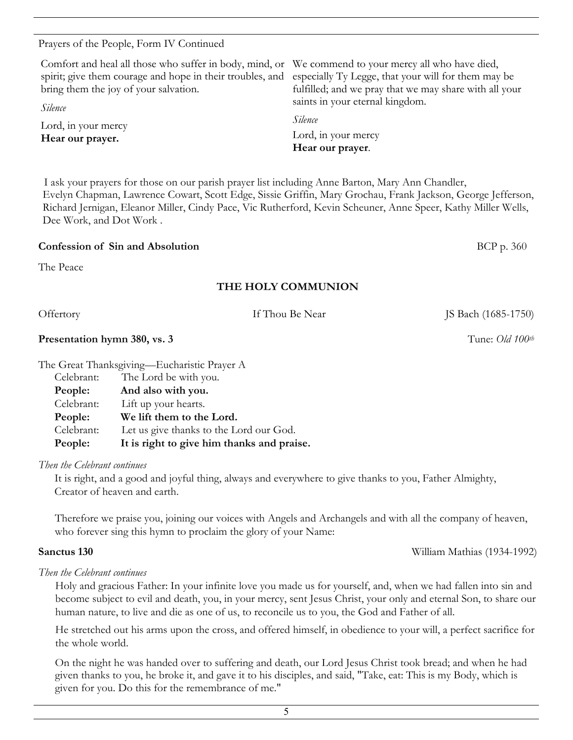5

Therefore we praise you, joining our voices with Angels and Archangels and with all the company of heaven, who forever sing this hymn to proclaim the glory of your Name:

*Then the Celebrant continues*

Holy and gracious Father: In your infinite love you made us for yourself, and, when we had fallen into sin and become subject to evil and death, you, in your mercy, sent Jesus Christ, your only and eternal Son, to share our human nature, to live and die as one of us, to reconcile us to you, the God and Father of all.

He stretched out his arms upon the cross, and offered himself, in obedience to your will, a perfect sacrifice for the whole world.

On the night he was handed over to suffering and death, our Lord Jesus Christ took bread; and when he had given thanks to you, he broke it, and gave it to his disciples, and said, "Take, eat: This is my Body, which is given for you. Do this for the remembrance of me."

Prayers of the People, Form IV Continued

spirit; give them courage and hope in their troubles, and bring them the joy of your salvation. *Silence*  Lord, in your mercy **Hear our prayer.**  especially Ty Legge, that your will for them may be fulfilled; and we pray that we may share with all your saints in your eternal kingdom. *Silence* Lord, in your mercy **Hear our prayer**.

 I ask your prayers for those on our parish prayer list including Anne Barton, Mary Ann Chandler, Evelyn Chapman, Lawrence Cowart, Scott Edge, Sissie Griffin, Mary Grochau, Frank Jackson, George Jefferson, Richard Jernigan, Eleanor Miller, Cindy Pace, Vic Rutherford, Kevin Scheuner, Anne Speer, Kathy Miller Wells, Dee Work, and Dot Work .

Comfort and heal all those who suffer in body, mind, or We commend to your mercy all who have died,

# **Confession of Sin and Absolution** BCP p. 360

The Peace

# **THE HOLY COMMUNION**

**Presentation hymn 380, vs. 3** Tune: *Old 100<sup>th</sup>* The Great Thanksgiving—Eucharistic Prayer A Celebrant: The Lord be with you. **People: And also with you.** Celebrant: Lift up your hearts. **People: We lift them to the Lord.**

Celebrant: Let us give thanks to the Lord our God.

**People: It is right to give him thanks and praise.**

*Then the Celebrant continues*

It is right, and a good and joyful thing, always and everywhere to give thanks to you, Father Almighty, Creator of heaven and earth.

Offertory If Thou Be Near IS Bach (1685-1750)

**Sanctus 130** William Mathias (1934-1992)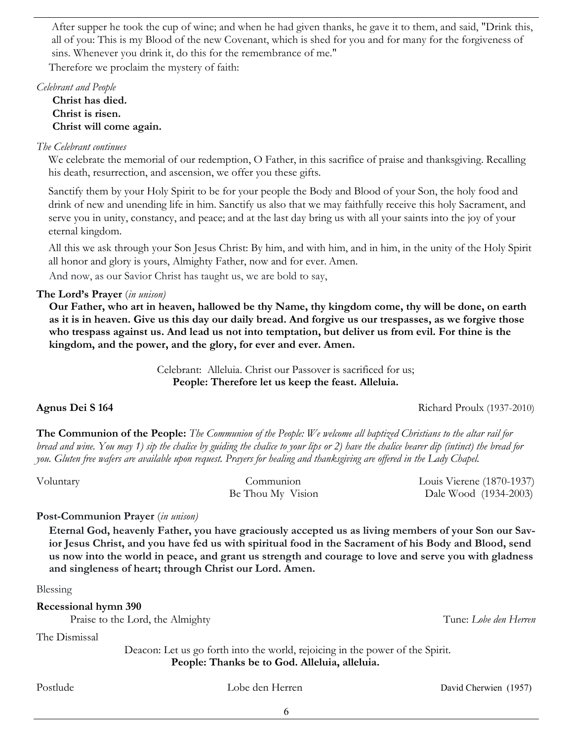After supper he took the cup of wine; and when he had given thanks, he gave it to them, and said, "Drink this, all of you: This is my Blood of the new Covenant, which is shed for you and for many for the forgiveness of sins. Whenever you drink it, do this for the remembrance of me."

Therefore we proclaim the mystery of faith:

*Celebrant and People*

**Christ has died. Christ is risen. Christ will come again.** 

# *The Celebrant continues*

We celebrate the memorial of our redemption, O Father, in this sacrifice of praise and thanksgiving. Recalling his death, resurrection, and ascension, we offer you these gifts.

Sanctify them by your Holy Spirit to be for your people the Body and Blood of your Son, the holy food and drink of new and unending life in him. Sanctify us also that we may faithfully receive this holy Sacrament, and serve you in unity, constancy, and peace; and at the last day bring us with all your saints into the joy of your eternal kingdom.

All this we ask through your Son Jesus Christ: By him, and with him, and in him, in the unity of the Holy Spirit all honor and glory is yours, Almighty Father, now and for ever. Amen.

And now, as our Savior Christ has taught us, we are bold to say,

# **The Lord's Prayer** (*in unison)*

**Our Father, who art in heaven, hallowed be thy Name, thy kingdom come, thy will be done, on earth as it is in heaven. Give us this day our daily bread. And forgive us our trespasses, as we forgive those who trespass against us. And lead us not into temptation, but deliver us from evil. For thine is the kingdom, and the power, and the glory, for ever and ever. Amen.**

> Celebrant: Alleluia. Christ our Passover is sacrificed for us; **People: Therefore let us keep the feast. Alleluia.**

**Agnus Dei S 164** Richard Proulx (1937-2010)

**The Communion of the People:** *The Communion of the People: We welcome all baptized Christians to the altar rail for bread and wine. You may 1) sip the chalice by guiding the chalice to your lips or 2) have the chalice bearer dip (intinct) the bread for you. Gluten free wafers are available upon request. Prayers for healing and thanksgiving are offered in the Lady Chapel.*

| Voluntary | Communion         | Louis Vierene (1870-1937) |
|-----------|-------------------|---------------------------|
|           | Be Thou My Vision | Dale Wood (1934-2003)     |

# **Post-Communion Prayer** (*in unison)*

**Eternal God, heavenly Father, you have graciously accepted us as living members of your Son our Savior Jesus Christ, and you have fed us with spiritual food in the Sacrament of his Body and Blood, send us now into the world in peace, and grant us strength and courage to love and serve you with gladness and singleness of heart; through Christ our Lord. Amen.**

Blessing

# **Recessional hymn 390**

Praise to the Lord, the Almighty Tune: *Lobe den Herren* 

The Dismissal

Deacon: Let us go forth into the world, rejoicing in the power of the Spirit. **People: Thanks be to God. Alleluia, alleluia.** 

Postlude Lobe den Herren David Cherwien (1957)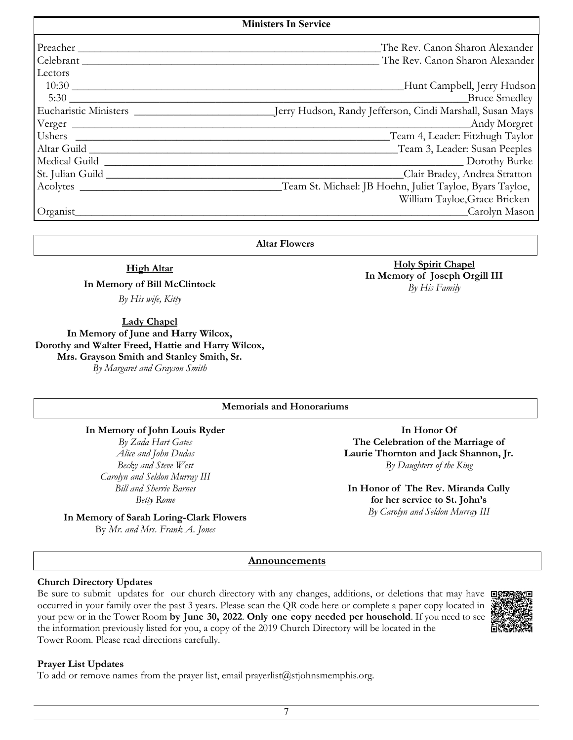#### **Ministers In Service**

| Preacher              | The Rev. Canon Sharon Alexander                           |
|-----------------------|-----------------------------------------------------------|
| Celebrant             | The Rev. Canon Sharon Alexander                           |
| Lectors               |                                                           |
| 10:30                 | Hunt Campbell, Jerry Hudson                               |
| 5:30                  | Bruce Smedley                                             |
| Eucharistic Ministers | Jerry Hudson, Randy Jefferson, Cindi Marshall, Susan Mays |
|                       | _Andy Morgret                                             |
| Ushers                | Team 4, Leader: Fitzhugh Taylor                           |
| Altar Guild _________ | Team 3, Leader: Susan Peeples                             |
| Medical Guild         | _ Dorothy Burke                                           |
|                       | Clair Bradey, Andrea Stratton                             |
| Acolytes              | Team St. Michael: JB Hoehn, Juliet Tayloe, Byars Tayloe,  |
|                       | William Tayloe, Grace Bricken                             |
| Organist              | Carolyn Mason                                             |

#### **Altar Flowers**

 **High Altar**

#### **In Memory of Bill McClintock**

*By His wife, Kitty*

**Lady Chapel In Memory of June and Harry Wilcox, Dorothy and Walter Freed, Hattie and Harry Wilcox, Mrs. Grayson Smith and Stanley Smith, Sr.**  *By Margaret and Grayson Smith* 

### **Memorials and Honorariums**

#### **In Memory of John Louis Ryder**

*By Zada Hart Gates Alice and John Dudas Becky and Steve West Carolyn and Seldon Murray III Bill and Sherrie Barnes Betty Rome*

#### **In Memory of Sarah Loring-Clark Flowers**

By *Mr. and Mrs. Frank A. Jones*

**In Honor Of The Celebration of the Marriage of Laurie Thornton and Jack Shannon, Jr.** *By Daughters of the King*

**In Honor of The Rev. Miranda Cully for her service to St. John's** *By Carolyn and Seldon Murray III*

#### **Announcements**

### **Church Directory Updates**

Be sure to submit updates for our church directory with any changes, additions, or deletions that may have occurred in your family over the past 3 years. Please scan the QR code here or complete a paper copy located in your pew or in the Tower Room **by June 30, 2022**. **Only one copy needed per household**. If you need to see the information previously listed for you, a copy of the 2019 Church Directory will be located in the Tower Room. Please read directions carefully.

#### **Prayer List Updates**

To add or remove names from the prayer list, email prayerlist@stjohnsmemphis.org.

**Holy Spirit Chapel In Memory of Joseph Orgill III** *By His Family*

7